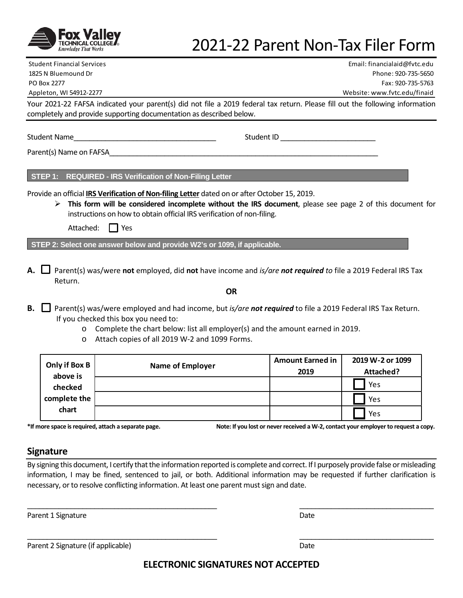

# 2021-22 Parent Non-Tax Filer Form

Student Financial Services Email: financialaid@fvtc.edu 1825 N Bluemound Dr Phone: 920-735-5650 PO Box 2277 Fax: 920-735-5763 Appleton, WI 54912-2277 Website: www.fvtc.edu/finaid

Your 2021-22 FAFSA indicated your parent(s) did not file a 2019 federal tax return. Please fill out the following information completely and provide supporting documentation as described below.

Student Name The Communication of the Student ID communication of the Student ID  $\sim$ 

Parent(s) Name on FAFSA

**STEP 1: REQUIRED - IRS Verification of Non-Filing Letter** 

Provide an official **IRS Verification of Non-filing Letter** dated on or after October 15, 2019.

 **This form will be considered incomplete without the IRS document**, please see page 2 of this document for instructions on how to obtain official IRS verification of non-filing.

| Attached: | I Yes |
|-----------|-------|
|-----------|-------|

**STEP 2: Select one answer below and provide W2's or 1099, if applicable.** 

**A.** Parent(s) was/were **not** employed, did **not** have income and *is/are not required to* file a 2019 Federal IRS Tax Return.

**OR**

- **B.** Parent(s) was/were employed and had income, but *is/are not required* to file a 2019 Federal IRS Tax Return. If you checked this box you need to:
	- o Complete the chart below: list all employer(s) and the amount earned in 2019.
	- o Attach copies of all 2019 W-2 and 1099 Forms.

| Only if Box B<br>above is | <b>Name of Employer</b> | <b>Amount Earned in</b><br>2019 | 2019 W-2 or 1099<br>Attached? |
|---------------------------|-------------------------|---------------------------------|-------------------------------|
| checked                   |                         |                                 | Yes                           |
| complete the<br>chart     |                         |                                 | Yes                           |
|                           |                         |                                 | Yes                           |

**\*If more space is required, attach a separate page. Note: If you lost or never received a W-2, contact your employer to request a copy.**

### **Signature**

By signing this document, I certify that the information reported is complete and correct. If I purposely provide false or misleading information, I may be fined, sentenced to jail, or both. Additional information may be requested if further clarification is necessary, or to resolve conflicting information. At least one parent must sign and date.

\_\_\_\_\_\_\_\_\_\_\_\_\_\_\_\_\_\_\_\_\_\_\_\_\_\_\_\_\_\_\_\_\_\_\_\_\_\_\_\_\_\_\_\_\_\_\_\_ \_\_\_\_\_\_\_\_\_\_\_\_\_\_\_\_\_\_\_\_\_\_\_\_\_\_\_\_\_\_\_\_\_\_

\_\_\_\_\_\_\_\_\_\_\_\_\_\_\_\_\_\_\_\_\_\_\_\_\_\_\_\_\_\_\_\_\_\_\_\_\_\_\_\_\_\_\_\_\_\_\_\_ \_\_\_\_\_\_\_\_\_\_\_\_\_\_\_\_\_\_\_\_\_\_\_\_\_\_\_\_\_\_\_\_\_\_

Parent 1 Signature Date Date of the Date of the Date Date Date Date of the Date Date of the Date of the Date of the Date of the Date of the Date of the Date of the Date of the Date of the Date of the Date of the Date of th

Parent 2 Signature (if applicable) Date and the state of the state of the Date of the Date of the Date of the Date of the Date of the Date of the Date of the Date of the Date of the Date of the Date of the Date of the Date

**ELECTRONIC SIGNATURES NOT ACCEPTED**